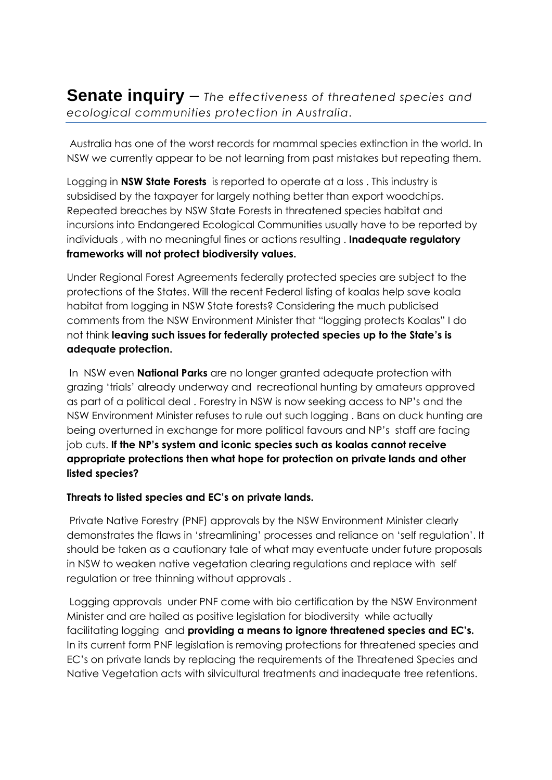**Senate inquiry** – *The effectiveness of threatened species and ecological communities protection in Australia.*

Australia has one of the worst records for mammal species extinction in the world. In NSW we currently appear to be not learning from past mistakes but repeating them.

Logging in **NSW State Forests** is reported to operate at a loss . This industry is subsidised by the taxpayer for largely nothing better than export woodchips. Repeated breaches by NSW State Forests in threatened species habitat and incursions into Endangered Ecological Communities usually have to be reported by individuals , with no meaningful fines or actions resulting . **Inadequate regulatory frameworks will not protect biodiversity values.** 

Under Regional Forest Agreements federally protected species are subject to the protections of the States. Will the recent Federal listing of koalas help save koala habitat from logging in NSW State forests? Considering the much publicised comments from the NSW Environment Minister that "logging protects Koalas" I do not think **leaving such issues for federally protected species up to the State's is adequate protection.**

In NSW even **National Parks** are no longer granted adequate protection with grazing 'trials' already underway and recreational hunting by amateurs approved as part of a political deal . Forestry in NSW is now seeking access to NP's and the NSW Environment Minister refuses to rule out such logging . Bans on duck hunting are being overturned in exchange for more political favours and NP's staff are facing job cuts. **If the NP's system and iconic species such as koalas cannot receive appropriate protections then what hope for protection on private lands and other listed species?**

## **Threats to listed species and EC's on private lands.**

Private Native Forestry (PNF) approvals by the NSW Environment Minister clearly demonstrates the flaws in 'streamlining' processes and reliance on 'self regulation'. It should be taken as a cautionary tale of what may eventuate under future proposals in NSW to weaken native vegetation clearing regulations and replace with self regulation or tree thinning without approvals .

Logging approvals under PNF come with bio certification by the NSW Environment Minister and are hailed as positive legislation for biodiversity while actually facilitating logging and **providing a means to ignore threatened species and EC's.** In its current form PNF legislation is removing protections for threatened species and EC's on private lands by replacing the requirements of the Threatened Species and Native Vegetation acts with silvicultural treatments and inadequate tree retentions.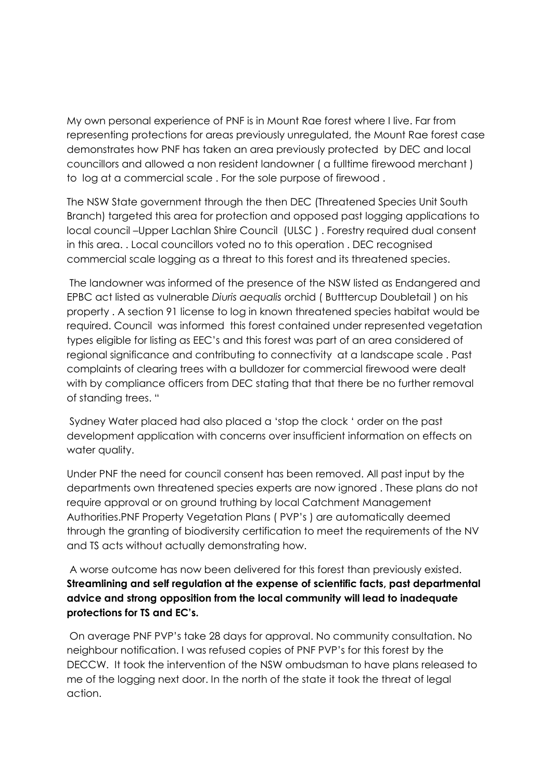My own personal experience of PNF is in Mount Rae forest where I live. Far from representing protections for areas previously unregulated, the Mount Rae forest case demonstrates how PNF has taken an area previously protected by DEC and local councillors and allowed a non resident landowner ( a fulltime firewood merchant ) to log at a commercial scale . For the sole purpose of firewood .

The NSW State government through the then DEC (Threatened Species Unit South Branch) targeted this area for protection and opposed past logging applications to local council –Upper Lachlan Shire Council (ULSC ) . Forestry required dual consent in this area. . Local councillors voted no to this operation . DEC recognised commercial scale logging as a threat to this forest and its threatened species.

The landowner was informed of the presence of the NSW listed as Endangered and EPBC act listed as vulnerable *Diuris aequalis* orchid ( Butttercup Doubletail ) on his property . A section 91 license to log in known threatened species habitat would be required. Council was informed this forest contained under represented vegetation types eligible for listing as EEC's and this forest was part of an area considered of regional significance and contributing to connectivity at a landscape scale . Past complaints of clearing trees with a bulldozer for commercial firewood were dealt with by compliance officers from DEC stating that that there be no further removal of standing trees. "

Sydney Water placed had also placed a 'stop the clock ' order on the past development application with concerns over insufficient information on effects on water quality.

Under PNF the need for council consent has been removed. All past input by the departments own threatened species experts are now ignored . These plans do not require approval or on ground truthing by local Catchment Management Authorities.PNF Property Vegetation Plans ( PVP's ) are automatically deemed through the granting of biodiversity certification to meet the requirements of the NV and TS acts without actually demonstrating how.

A worse outcome has now been delivered for this forest than previously existed. **Streamlining and self regulation at the expense of scientific facts, past departmental advice and strong opposition from the local community will lead to inadequate protections for TS and EC's.**

On average PNF PVP's take 28 days for approval. No community consultation. No neighbour notification. I was refused copies of PNF PVP's for this forest by the DECCW. It took the intervention of the NSW ombudsman to have plans released to me of the logging next door. In the north of the state it took the threat of legal action.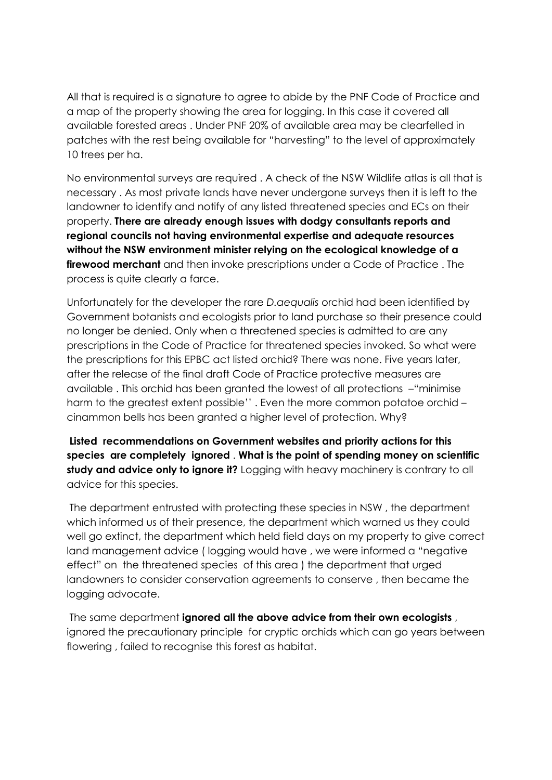All that is required is a signature to agree to abide by the PNF Code of Practice and a map of the property showing the area for logging. In this case it covered all available forested areas . Under PNF 20% of available area may be clearfelled in patches with the rest being available for "harvesting" to the level of approximately 10 trees per ha.

No environmental surveys are required . A check of the NSW Wildlife atlas is all that is necessary . As most private lands have never undergone surveys then it is left to the landowner to identify and notify of any listed threatened species and ECs on their property. **There are already enough issues with dodgy consultants reports and regional councils not having environmental expertise and adequate resources without the NSW environment minister relying on the ecological knowledge of a firewood merchant** and then invoke prescriptions under a Code of Practice . The process is quite clearly a farce.

Unfortunately for the developer the rare *D.aequalis* orchid had been identified by Government botanists and ecologists prior to land purchase so their presence could no longer be denied. Only when a threatened species is admitted to are any prescriptions in the Code of Practice for threatened species invoked. So what were the prescriptions for this EPBC act listed orchid? There was none. Five years later, after the release of the final draft Code of Practice protective measures are available . This orchid has been granted the lowest of all protections –"minimise harm to the greatest extent possible'' . Even the more common potatoe orchid – cinammon bells has been granted a higher level of protection. Why?

**Listed recommendations on Government websites and priority actions for this species are completely ignored** . **What is the point of spending money on scientific study and advice only to ignore it?** Logging with heavy machinery is contrary to all advice for this species.

The department entrusted with protecting these species in NSW , the department which informed us of their presence, the department which warned us they could well go extinct, the department which held field days on my property to give correct land management advice ( logging would have , we were informed a "negative effect" on the threatened species of this area ) the department that urged landowners to consider conservation agreements to conserve , then became the logging advocate.

The same department **ignored all the above advice from their own ecologists** , ignored the precautionary principle for cryptic orchids which can go years between flowering , failed to recognise this forest as habitat.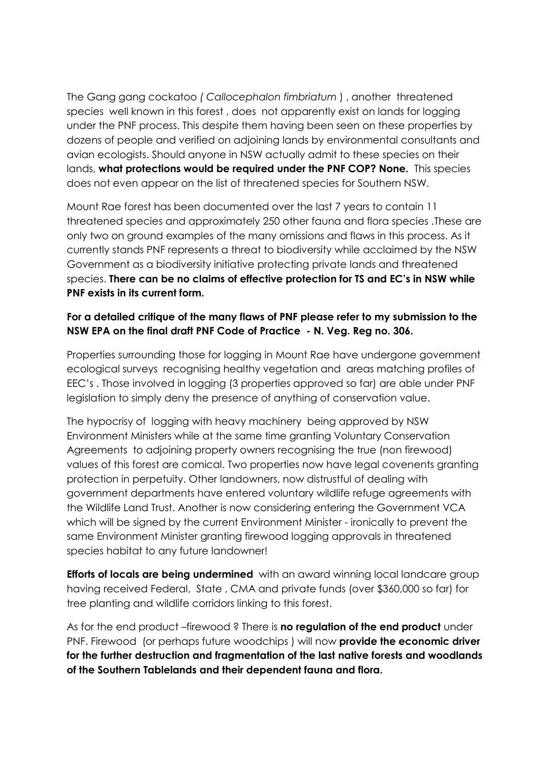The Gang gang cockatoo *( Callocephalon fimbriatum* ) , another threatened species well known in this forest , does not apparently exist on lands for logging under the PNF process. This despite them having been seen on these properties by dozens of people and verified on adjoining lands by environmental consultants and avian ecologists. Should anyone in NSW actually admit to these species on their lands, **what protections would be required under the PNF COP? None.** This species does not even appear on the list of threatened species for Southern NSW.

Mount Rae forest has been documented over the last 7 years to contain 11 threatened species and approximately 250 other fauna and flora species .These are only two on ground examples of the many omissions and flaws in this process. As it currently stands PNF represents a threat to biodiversity while acclaimed by the NSW Government as a biodiversity initiative protecting private lands and threatened species. **There can be no claims of effective protection for TS and EC's in NSW while PNF exists in its current form.**

## **For a detailed critique of the many flaws of PNF please refer to my submission to the NSW EPA on the final draft PNF Code of Practice - N. Veg. Reg no. 306.**

Properties surrounding those for logging in Mount Rae have undergone government ecological surveys recognising healthy vegetation and areas matching profiles of EEC's . Those involved in logging (3 properties approved so far) are able under PNF legislation to simply deny the presence of anything of conservation value.

The hypocrisy of logging with heavy machinery being approved by NSW Environment Ministers while at the same time granting Voluntary Conservation Agreements to adjoining property owners recognising the true (non firewood) values of this forest are comical. Two properties now have legal covenents granting protection in perpetuity. Other landowners, now distrustful of dealing with government departments have entered voluntary wildlife refuge agreements with the Wildlife Land Trust. Another is now considering entering the Government VCA which will be signed by the current Environment Minister - ironically to prevent the same Environment Minister granting firewood logging approvals in threatened species habitat to any future landowner!

**Efforts of locals are being undermined** with an award winning local landcare group having received Federal, State , CMA and private funds (over \$360,000 so far) for tree planting and wildlife corridors linking to this forest.

As for the end product –firewood ? There is **no regulation of the end product** under PNF. Firewood (or perhaps future woodchips ) will now **provide the economic driver for the further destruction and fragmentation of the last native forests and woodlands of the Southern Tablelands and their dependent fauna and flora.**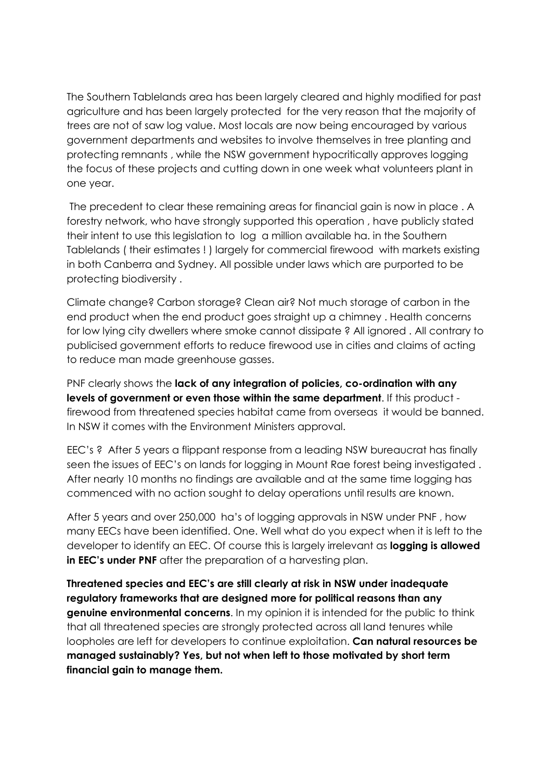The Southern Tablelands area has been largely cleared and highly modified for past agriculture and has been largely protected for the very reason that the majority of trees are not of saw log value. Most locals are now being encouraged by various government departments and websites to involve themselves in tree planting and protecting remnants , while the NSW government hypocritically approves logging the focus of these projects and cutting down in one week what volunteers plant in one year.

The precedent to clear these remaining areas for financial gain is now in place . A forestry network, who have strongly supported this operation , have publicly stated their intent to use this legislation to log a million available ha. in the Southern Tablelands ( their estimates ! ) largely for commercial firewood with markets existing in both Canberra and Sydney. All possible under laws which are purported to be protecting biodiversity .

Climate change? Carbon storage? Clean air? Not much storage of carbon in the end product when the end product goes straight up a chimney . Health concerns for low lying city dwellers where smoke cannot dissipate ? All ignored . All contrary to publicised government efforts to reduce firewood use in cities and claims of acting to reduce man made greenhouse gasses.

PNF clearly shows the **lack of any integration of policies, co-ordination with any levels of government or even those within the same department**. If this product firewood from threatened species habitat came from overseas it would be banned. In NSW it comes with the Environment Ministers approval.

EEC's ? After 5 years a flippant response from a leading NSW bureaucrat has finally seen the issues of EEC's on lands for logging in Mount Rae forest being investigated . After nearly 10 months no findings are available and at the same time logging has commenced with no action sought to delay operations until results are known.

After 5 years and over 250,000 ha's of logging approvals in NSW under PNF , how many EECs have been identified. One. Well what do you expect when it is left to the developer to identify an EEC. Of course this is largely irrelevant as **logging is allowed in EEC's under PNF** after the preparation of a harvesting plan.

**Threatened species and EEC's are still clearly at risk in NSW under inadequate regulatory frameworks that are designed more for political reasons than any genuine environmental concerns**. In my opinion it is intended for the public to think that all threatened species are strongly protected across all land tenures while loopholes are left for developers to continue exploitation. **Can natural resources be managed sustainably? Yes, but not when left to those motivated by short term financial gain to manage them.**